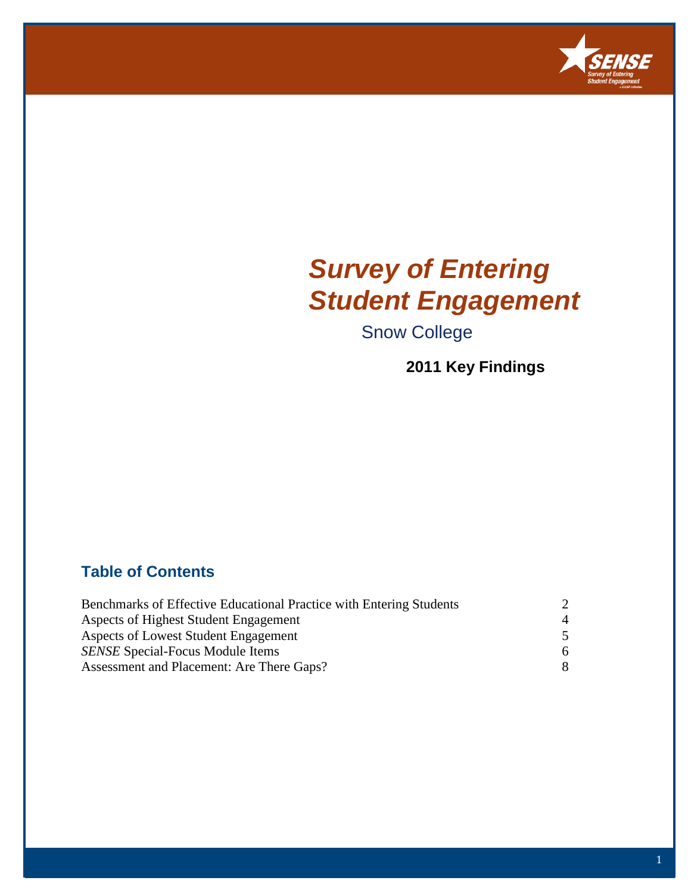

# *Survey of Entering Student Engagement*

Snow College

**2011 Key Findings**

#### **Table of Contents**

| Benchmarks of Effective Educational Practice with Entering Students |                |
|---------------------------------------------------------------------|----------------|
| Aspects of Highest Student Engagement                               | $\overline{4}$ |
| Aspects of Lowest Student Engagement                                | $\overline{5}$ |
| <i>SENSE</i> Special-Focus Module Items                             | 6              |
| Assessment and Placement: Are There Gaps?                           | 8              |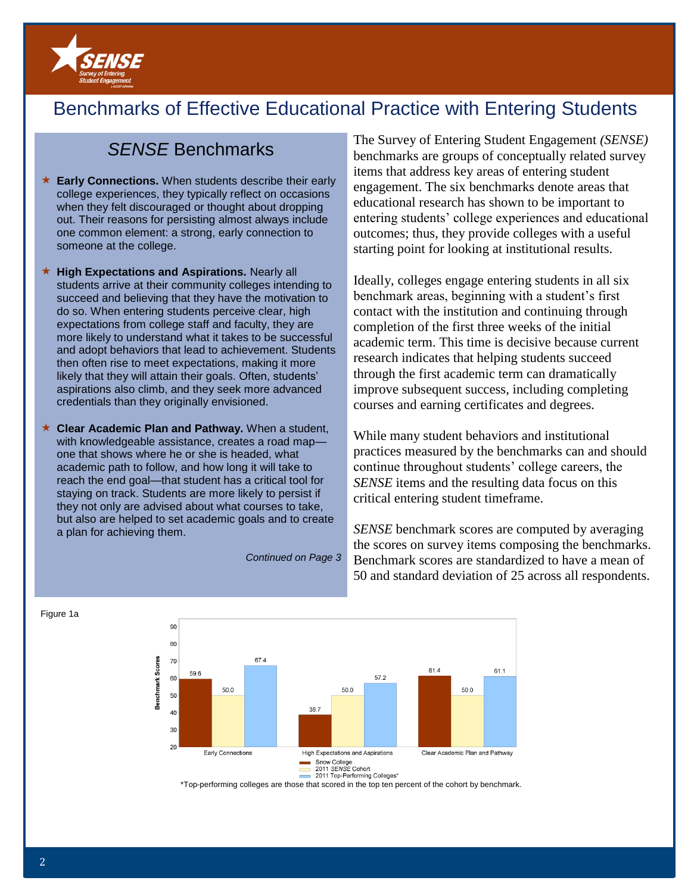

# Benchmarks of Effective Educational Practice with Entering Students

#### *SENSE* Benchmarks

- ★ Early Connections. When students describe their early college experiences, they typically reflect on occasions when they felt discouraged or thought about dropping out. Their reasons for persisting almost always include one common element: a strong, early connection to someone at the college.
- **High Expectations and Aspirations.** Nearly all students arrive at their community colleges intending to succeed and believing that they have the motivation to do so. When entering students perceive clear, high expectations from college staff and faculty, they are more likely to understand what it takes to be successful and adopt behaviors that lead to achievement. Students then often rise to meet expectations, making it more likely that they will attain their goals. Often, students' aspirations also climb, and they seek more advanced credentials than they originally envisioned.
- **Clear Academic Plan and Pathway.** When a student, with knowledgeable assistance, creates a road mapone that shows where he or she is headed, what academic path to follow, and how long it will take to reach the end goal—that student has a critical tool for staying on track. Students are more likely to persist if they not only are advised about what courses to take, but also are helped to set academic goals and to create a plan for achieving them.

*Continued on Page 3*

The Survey of Entering Student Engagement *(SENSE)* benchmarks are groups of conceptually related survey items that address key areas of entering student engagement. The six benchmarks denote areas that educational research has shown to be important to entering students' college experiences and educational outcomes; thus, they provide colleges with a useful starting point for looking at institutional results.

Ideally, colleges engage entering students in all six benchmark areas, beginning with a student's first contact with the institution and continuing through completion of the first three weeks of the initial academic term. This time is decisive because current research indicates that helping students succeed through the first academic term can dramatically improve subsequent success, including completing courses and earning certificates and degrees.

While many student behaviors and institutional practices measured by the benchmarks can and should continue throughout students' college careers, the *SENSE* items and the resulting data focus on this critical entering student timeframe.

*SENSE* benchmark scores are computed by averaging the scores on survey items composing the benchmarks. Benchmark scores are standardized to have a mean of 50 and standard deviation of 25 across all respondents.



\*Top-performing colleges are those that scored in the top ten percent of the cohort by benchmark.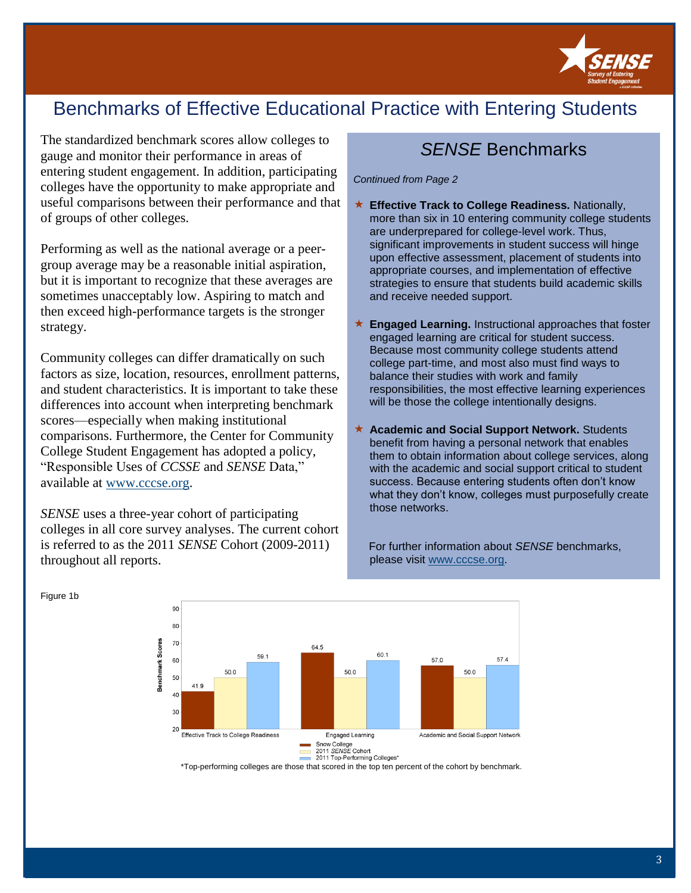

# Benchmarks of Effective Educational Practice with Entering Students

The standardized benchmark scores allow colleges to gauge and monitor their performance in areas of entering student engagement. In addition, participating colleges have the opportunity to make appropriate and useful comparisons between their performance and that of groups of other colleges.

Performing as well as the national average or a peergroup average may be a reasonable initial aspiration, but it is important to recognize that these averages are sometimes unacceptably low. Aspiring to match and then exceed high-performance targets is the stronger strategy.

Community colleges can differ dramatically on such factors as size, location, resources, enrollment patterns, and student characteristics. It is important to take these differences into account when interpreting benchmark scores—especially when making institutional comparisons. Furthermore, the Center for Community College Student Engagement has adopted a policy, "Responsible Uses of *CCSSE* and *SENSE* Data," available at [www.cccse.org.](http://www.cccse.org/)

*SENSE* uses a three-year cohort of participating colleges in all core survey analyses. The current cohort is referred to as the 2011 *SENSE* Cohort (2009-2011) throughout all reports.

Figure 1b

### *SENSE* Benchmarks

*Continued from Page 2*

- **Effective Track to College Readiness.** Nationally, more than six in 10 entering community college students are underprepared for college-level work. Thus, significant improvements in student success will hinge upon effective assessment, placement of students into appropriate courses, and implementation of effective strategies to ensure that students build academic skills and receive needed support.
- **Engaged Learning.** Instructional approaches that foster engaged learning are critical for student success. Because most community college students attend college part-time, and most also must find ways to balance their studies with work and family responsibilities, the most effective learning experiences will be those the college intentionally designs.
- ★ Academic and Social Support Network. Students benefit from having a personal network that enables them to obtain information about college services, along with the academic and social support critical to student success. Because entering students often don't know what they don't know, colleges must purposefully create those networks.



 For further information about *SENSE* benchmarks, please visit [www.cccse.org.](http://www.cccse.org/)

\*Top-performing colleges are those that scored in the top ten percent of the cohort by benchmark.

#### 3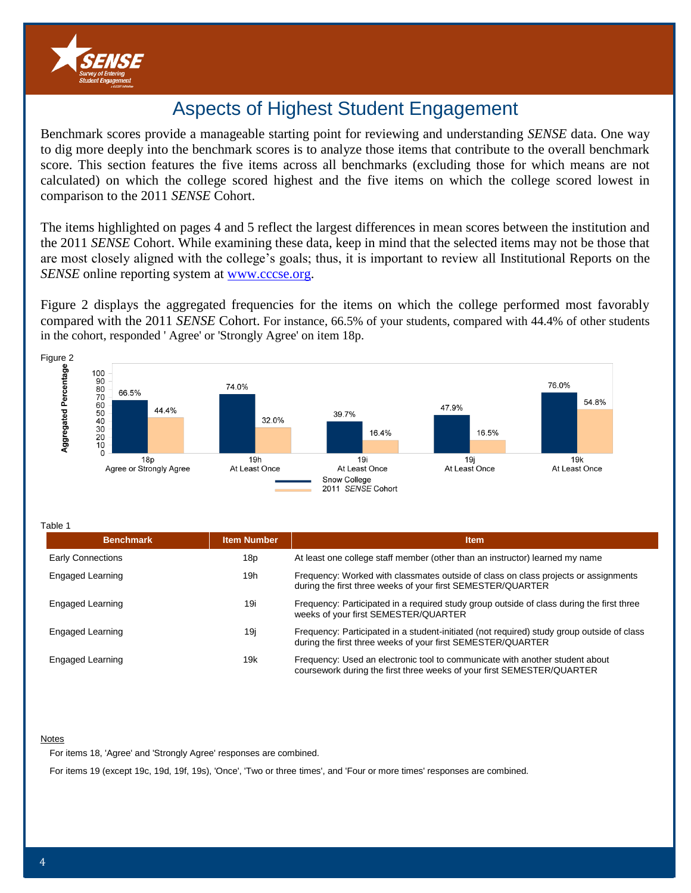

### Aspects of Highest Student Engagement

Benchmark scores provide a manageable starting point for reviewing and understanding *SENSE* data. One way to dig more deeply into the benchmark scores is to analyze those items that contribute to the overall benchmark score. This section features the five items across all benchmarks (excluding those for which means are not calculated) on which the college scored highest and the five items on which the college scored lowest in comparison to the 2011 *SENSE* Cohort.

The items highlighted on pages 4 and 5 reflect the largest differences in mean scores between the institution and the 2011 *SENSE* Cohort. While examining these data, keep in mind that the selected items may not be those that are most closely aligned with the college's goals; thus, it is important to review all Institutional Reports on the *SENSE* online reporting system at [www.cccse.org.](http://www.cccse.org/)

Figure 2 displays the aggregated frequencies for the items on which the college performed most favorably compared with the 2011 *SENSE* Cohort. For instance, 66.5% of your students, compared with 44.4% of other students in the cohort, responded ' Agree' or 'Strongly Agree' on item 18p.



#### Notes

For items 18, 'Agree' and 'Strongly Agree' responses are combined.

For items 19 (except 19c, 19d, 19f, 19s), 'Once', 'Two or three times', and 'Four or more times' responses are combined.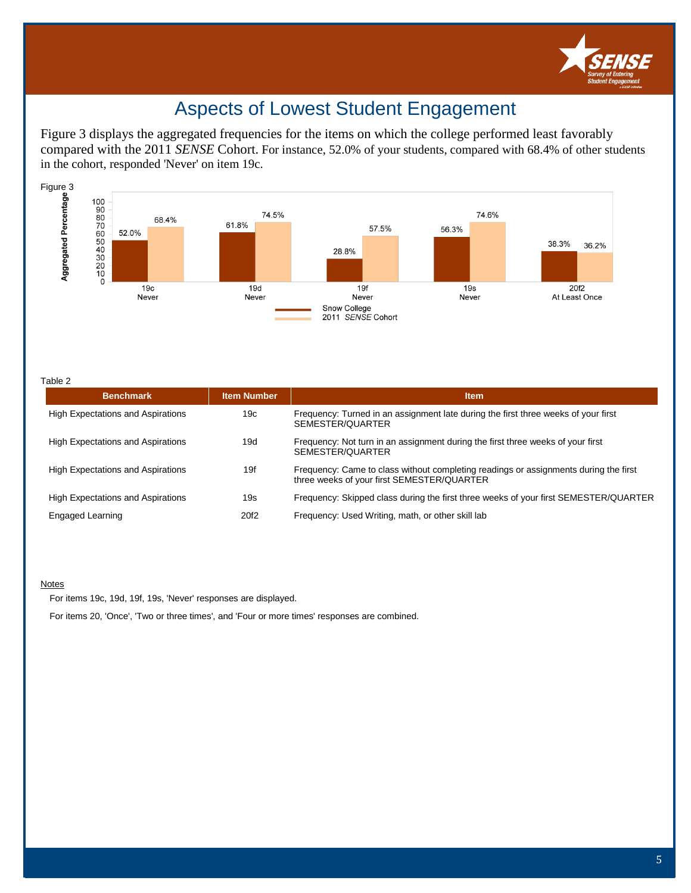

### Aspects of Lowest Student Engagement

Figure 3 displays the aggregated frequencies for the items on which the college performed least favorably compared with the 2011 *SENSE* Cohort. For instance, 52.0% of your students, compared with 68.4% of other students in the cohort, responded 'Never' on item 19c.



Table 2

| .                                        |                    |                                                                                                                                    |  |  |  |  |  |  |
|------------------------------------------|--------------------|------------------------------------------------------------------------------------------------------------------------------------|--|--|--|--|--|--|
| <b>Benchmark</b>                         | <b>Item Number</b> | <b>Item</b>                                                                                                                        |  |  |  |  |  |  |
| <b>High Expectations and Aspirations</b> | 19c                | Frequency: Turned in an assignment late during the first three weeks of your first<br>SEMESTER/QUARTER                             |  |  |  |  |  |  |
| <b>High Expectations and Aspirations</b> | 19d                | Frequency: Not turn in an assignment during the first three weeks of your first<br>SEMESTER/QUARTER                                |  |  |  |  |  |  |
| <b>High Expectations and Aspirations</b> | 19f                | Frequency: Came to class without completing readings or assignments during the first<br>three weeks of your first SEMESTER/QUARTER |  |  |  |  |  |  |
| High Expectations and Aspirations        | 19s                | Frequency: Skipped class during the first three weeks of your first SEMESTER/QUARTER                                               |  |  |  |  |  |  |
| Engaged Learning                         | 20f2               | Frequency: Used Writing, math, or other skill lab                                                                                  |  |  |  |  |  |  |

#### **Notes**

For items 19c, 19d, 19f, 19s, 'Never' responses are displayed.

For items 20, 'Once', 'Two or three times', and 'Four or more times' responses are combined.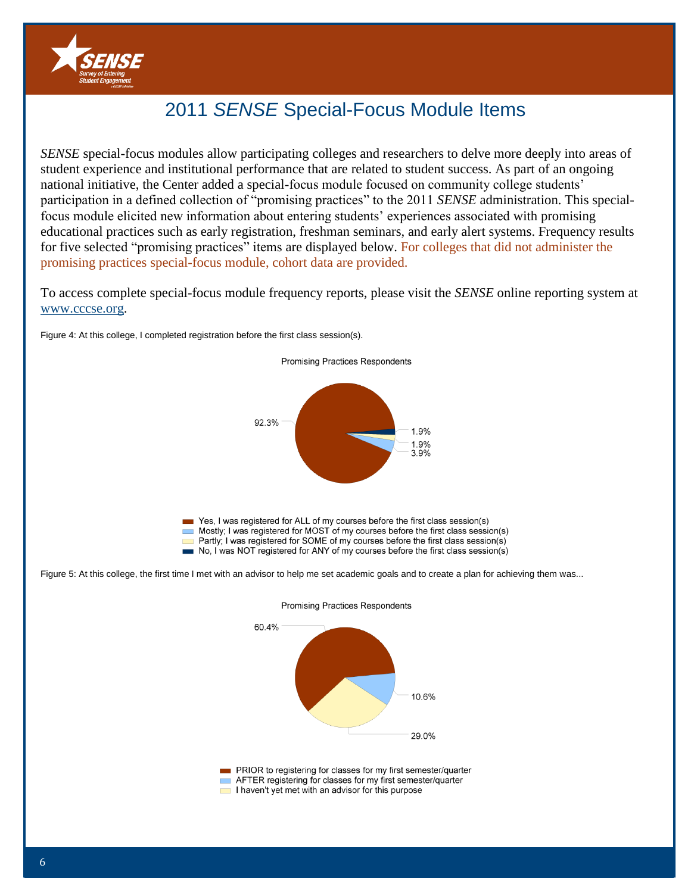

## 2011 *SENSE* Special-Focus Module Items

*SENSE* special-focus modules allow participating colleges and researchers to delve more deeply into areas of student experience and institutional performance that are related to student success. As part of an ongoing national initiative, the Center added a special-focus module focused on community college students' participation in a defined collection of "promising practices" to the 2011 *SENSE* administration. This specialfocus module elicited new information about entering students' experiences associated with promising educational practices such as early registration, freshman seminars, and early alert systems. Frequency results for five selected "promising practices" items are displayed below. For colleges that did not administer the promising practices special-focus module, cohort data are provided.

To access complete special-focus module frequency reports, please visit the *SENSE* online reporting system at [www.cccse.org.](http://www.ccsse.org/)



Figure 4: At this college, I completed registration before the first class session(s).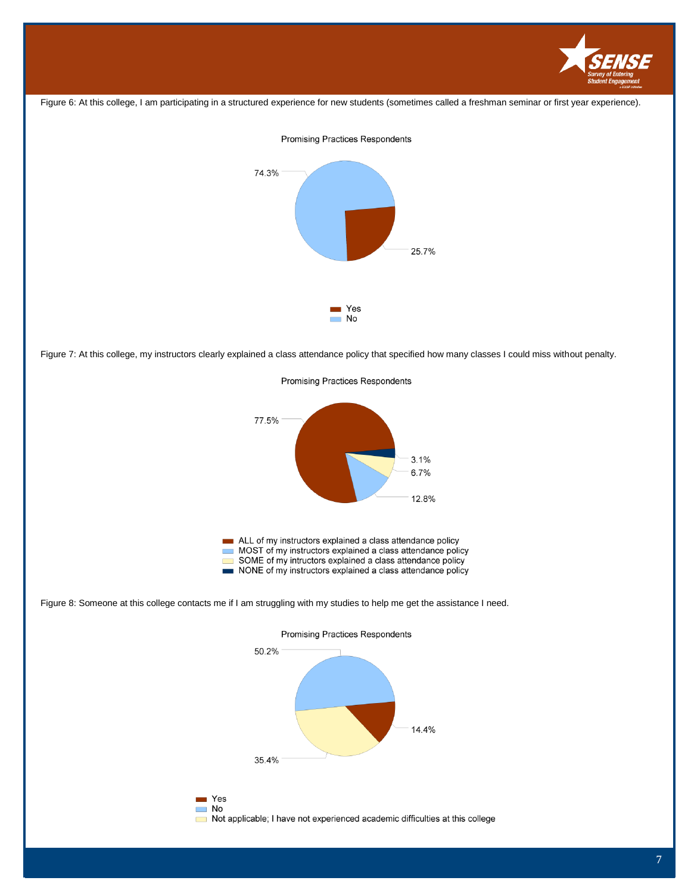

Figure 6: At this college, I am participating in a structured experience for new students (sometimes called a freshman seminar or first year experience).



Figure 7: At this college, my instructors clearly explained a class attendance policy that specified how many classes I could miss without penalty.



#### **Promising Practices Respondents**